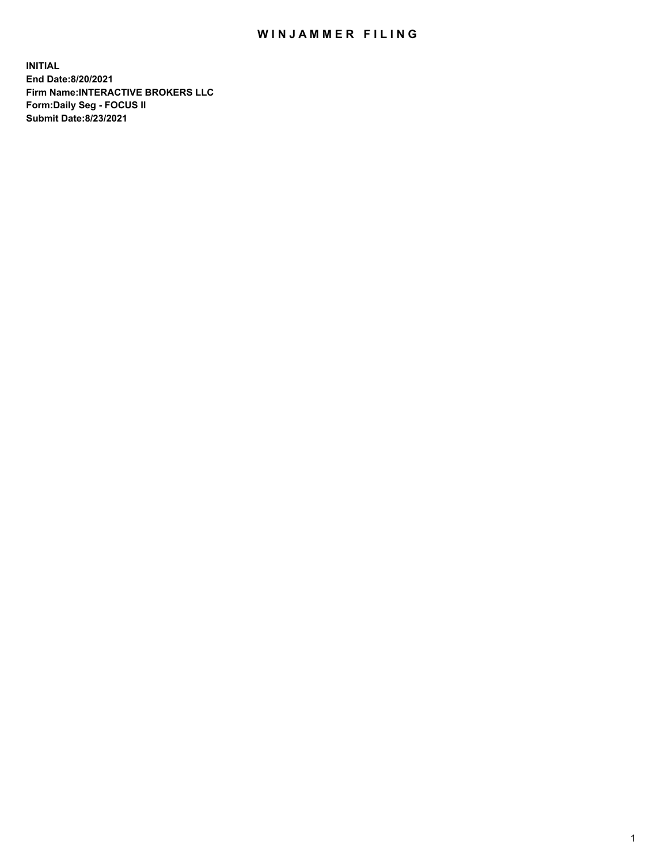## WIN JAMMER FILING

**INITIAL End Date:8/20/2021 Firm Name:INTERACTIVE BROKERS LLC Form:Daily Seg - FOCUS II Submit Date:8/23/2021**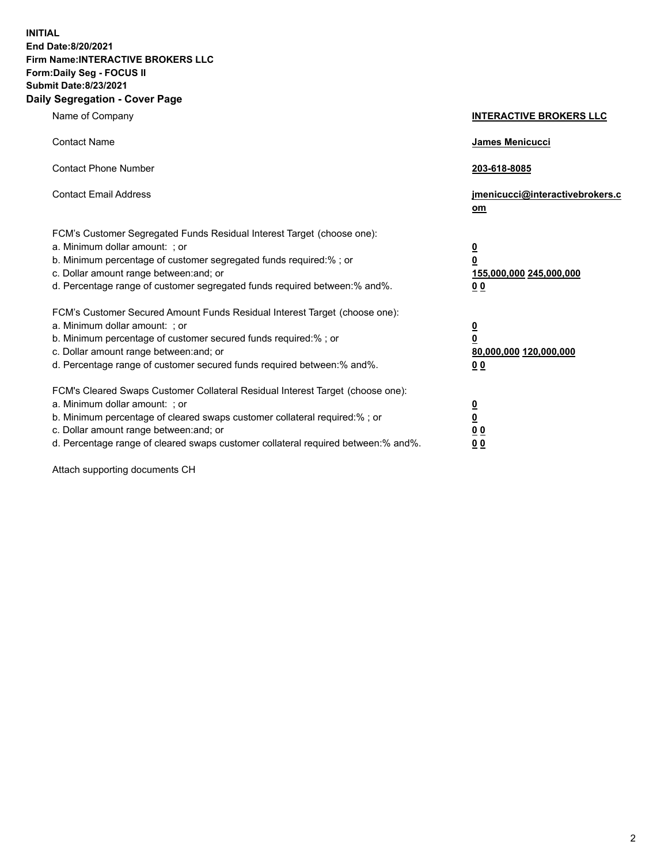**INITIAL End Date:8/20/2021 Firm Name:INTERACTIVE BROKERS LLC Form:Daily Seg - FOCUS II Submit Date:8/23/2021 Daily Segregation - Cover Page**

| Name of Company                                                                                                                                                                                                                                                                                                                | <b>INTERACTIVE BROKERS LLC</b>                                                   |  |
|--------------------------------------------------------------------------------------------------------------------------------------------------------------------------------------------------------------------------------------------------------------------------------------------------------------------------------|----------------------------------------------------------------------------------|--|
| <b>Contact Name</b>                                                                                                                                                                                                                                                                                                            | James Menicucci                                                                  |  |
| <b>Contact Phone Number</b>                                                                                                                                                                                                                                                                                                    | 203-618-8085                                                                     |  |
| <b>Contact Email Address</b>                                                                                                                                                                                                                                                                                                   | jmenicucci@interactivebrokers.c<br>om                                            |  |
| FCM's Customer Segregated Funds Residual Interest Target (choose one):<br>a. Minimum dollar amount: ; or<br>b. Minimum percentage of customer segregated funds required:% ; or<br>c. Dollar amount range between: and; or<br>d. Percentage range of customer segregated funds required between:% and%.                         | <u>0</u><br>$\overline{\mathbf{0}}$<br>155,000,000 245,000,000<br>0 <sub>0</sub> |  |
| FCM's Customer Secured Amount Funds Residual Interest Target (choose one):<br>a. Minimum dollar amount: ; or<br>b. Minimum percentage of customer secured funds required:% ; or<br>c. Dollar amount range between: and; or<br>d. Percentage range of customer secured funds required between:% and%.                           | <u>0</u><br>$\overline{\mathbf{0}}$<br>80,000,000 120,000,000<br>0 <sub>0</sub>  |  |
| FCM's Cleared Swaps Customer Collateral Residual Interest Target (choose one):<br>a. Minimum dollar amount: ; or<br>b. Minimum percentage of cleared swaps customer collateral required:% ; or<br>c. Dollar amount range between: and; or<br>d. Percentage range of cleared swaps customer collateral required between:% and%. | <u>0</u><br>$\underline{\mathbf{0}}$<br>0 <sub>0</sub><br>0 <sub>0</sub>         |  |

Attach supporting documents CH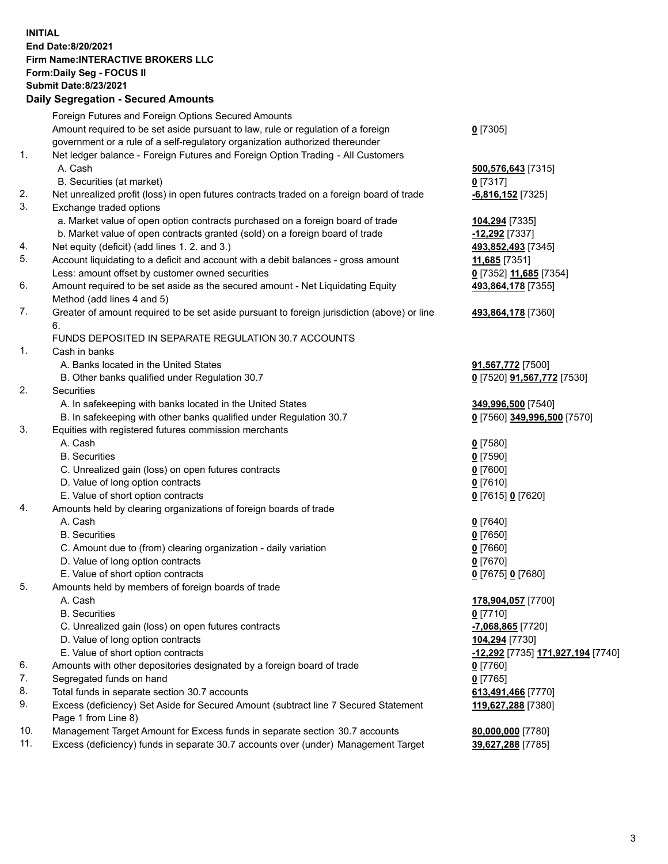**INITIAL End Date:8/20/2021 Firm Name:INTERACTIVE BROKERS LLC Form:Daily Seg - FOCUS II Submit Date:8/23/2021 Daily Segregation - Secured Amounts**

## Foreign Futures and Foreign Options Secured Amounts Amount required to be set aside pursuant to law, rule or regulation of a foreign government or a rule of a self-regulatory organization authorized thereunder **0** [7305] 1. Net ledger balance - Foreign Futures and Foreign Option Trading - All Customers A. Cash **500,576,643** [7315] B. Securities (at market) **0** [7317] 2. Net unrealized profit (loss) in open futures contracts traded on a foreign board of trade **-6,816,152** [7325] 3. Exchange traded options a. Market value of open option contracts purchased on a foreign board of trade **104,294** [7335] b. Market value of open contracts granted (sold) on a foreign board of trade **-12,292** [7337] 4. Net equity (deficit) (add lines 1. 2. and 3.) **493,852,493** [7345] 5. Account liquidating to a deficit and account with a debit balances - gross amount **11,685** [7351] Less: amount offset by customer owned securities **0** [7352] **11,685** [7354] 6. Amount required to be set aside as the secured amount - Net Liquidating Equity Method (add lines 4 and 5) **493,864,178** [7355] 7. Greater of amount required to be set aside pursuant to foreign jurisdiction (above) or line 6. **493,864,178** [7360] FUNDS DEPOSITED IN SEPARATE REGULATION 30.7 ACCOUNTS 1. Cash in banks A. Banks located in the United States **91,567,772** [7500] B. Other banks qualified under Regulation 30.7 **0** [7520] **91,567,772** [7530] 2. Securities A. In safekeeping with banks located in the United States **349,996,500** [7540] B. In safekeeping with other banks qualified under Regulation 30.7 **0** [7560] **349,996,500** [7570] 3. Equities with registered futures commission merchants A. Cash **0** [7580] B. Securities **0** [7590] C. Unrealized gain (loss) on open futures contracts **0** [7600] D. Value of long option contracts **0** [7610] E. Value of short option contracts **0** [7615] **0** [7620] 4. Amounts held by clearing organizations of foreign boards of trade A. Cash **0** [7640] B. Securities **0** [7650] C. Amount due to (from) clearing organization - daily variation **0** [7660] D. Value of long option contracts **0** [7670] E. Value of short option contracts **0** [7675] **0** [7680] 5. Amounts held by members of foreign boards of trade A. Cash **178,904,057** [7700] B. Securities **0** [7710] C. Unrealized gain (loss) on open futures contracts **-7,068,865** [7720] D. Value of long option contracts **104,294** [7730] E. Value of short option contracts **-12,292** [7735] **171,927,194** [7740] 6. Amounts with other depositories designated by a foreign board of trade **0** [7760] 7. Segregated funds on hand **0** [7765] 8. Total funds in separate section 30.7 accounts **613,491,466** [7770] 9. Excess (deficiency) Set Aside for Secured Amount (subtract line 7 Secured Statement Page 1 from Line 8) **119,627,288** [7380] 10. Management Target Amount for Excess funds in separate section 30.7 accounts **80,000,000** [7780] 11. Excess (deficiency) funds in separate 30.7 accounts over (under) Management Target **39,627,288** [7785]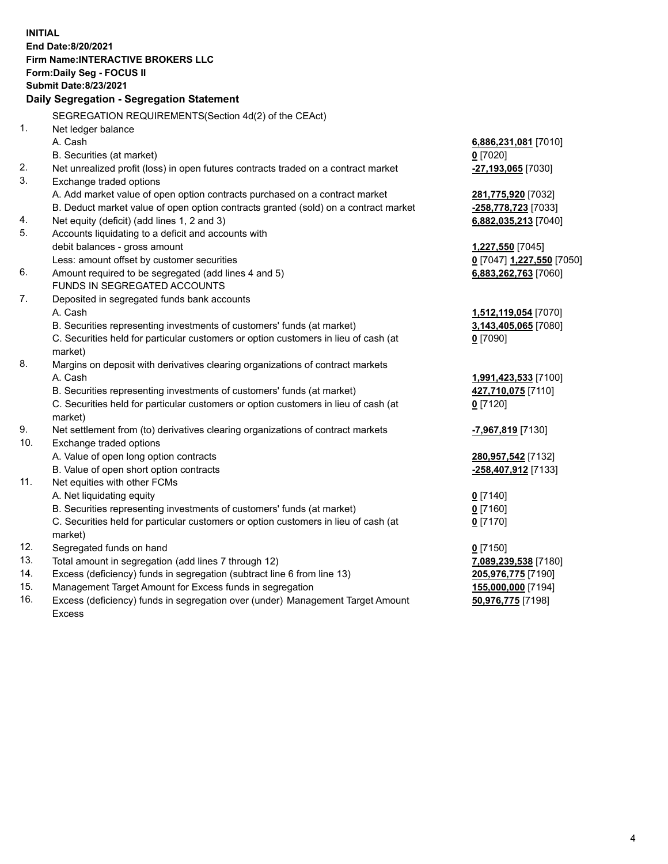**INITIAL End Date:8/20/2021 Firm Name:INTERACTIVE BROKERS LLC Form:Daily Seg - FOCUS II Submit Date:8/23/2021 Daily Segregation - Segregation Statement** SEGREGATION REQUIREMENTS(Section 4d(2) of the CEAct) 1. Net ledger balance A. Cash **6,886,231,081** [7010] B. Securities (at market) **0** [7020] 2. Net unrealized profit (loss) in open futures contracts traded on a contract market **-27,193,065** [7030] 3. Exchange traded options A. Add market value of open option contracts purchased on a contract market **281,775,920** [7032] B. Deduct market value of open option contracts granted (sold) on a contract market **-258,778,723** [7033] 4. Net equity (deficit) (add lines 1, 2 and 3) **6,882,035,213** [7040] 5. Accounts liquidating to a deficit and accounts with debit balances - gross amount **1,227,550** [7045] Less: amount offset by customer securities **0** [7047] **1,227,550** [7050] 6. Amount required to be segregated (add lines 4 and 5) **6,883,262,763** [7060] FUNDS IN SEGREGATED ACCOUNTS 7. Deposited in segregated funds bank accounts A. Cash **1,512,119,054** [7070] B. Securities representing investments of customers' funds (at market) **3,143,405,065** [7080] C. Securities held for particular customers or option customers in lieu of cash (at market) **0** [7090] 8. Margins on deposit with derivatives clearing organizations of contract markets A. Cash **1,991,423,533** [7100] B. Securities representing investments of customers' funds (at market) **427,710,075** [7110] C. Securities held for particular customers or option customers in lieu of cash (at market) **0** [7120] 9. Net settlement from (to) derivatives clearing organizations of contract markets **-7,967,819** [7130] 10. Exchange traded options A. Value of open long option contracts **280,957,542** [7132] B. Value of open short option contracts **-258,407,912** [7133] 11. Net equities with other FCMs A. Net liquidating equity **0** [7140] B. Securities representing investments of customers' funds (at market) **0** [7160] C. Securities held for particular customers or option customers in lieu of cash (at market) **0** [7170] 12. Segregated funds on hand **0** [7150] 13. Total amount in segregation (add lines 7 through 12) **7,089,239,538** [7180] 14. Excess (deficiency) funds in segregation (subtract line 6 from line 13) **205,976,775** [7190] 15. Management Target Amount for Excess funds in segregation **155,000,000** [7194] **50,976,775** [7198]

16. Excess (deficiency) funds in segregation over (under) Management Target Amount Excess